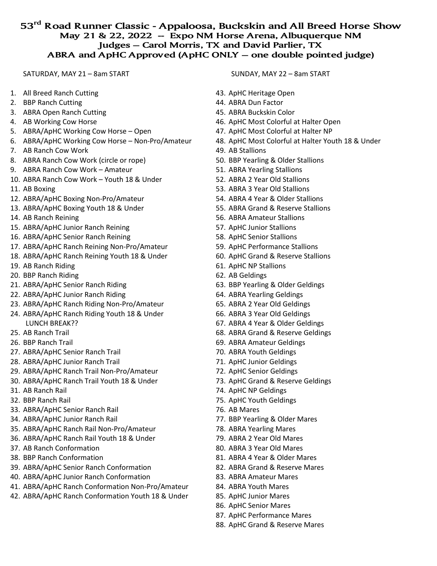## **53rd Road Runner Classic - Appaloosa, Buckskin and All Breed Horse Show May 21 & 22, 2022 -- Expo NM Horse Arena, Albuquerque NM Judges – Carol Morris, TX and David Parlier, TX ABRA and ApHC Approved (ApHC ONLY – one double pointed judge)**

SATURDAY, MAY 21 – 8am START

- 1. All Breed Ranch Cutting
- 2. BBP Ranch Cutting
- 3. ABRA Open Ranch Cutting
- 4. AB Working Cow Horse
- 5. ABRA/ApHC Working Cow Horse Open
- 6. ABRA/ApHC Working Cow Horse Non-Pro/Amateur
- 7. AB Ranch Cow Work
- 8. ABRA Ranch Cow Work (circle or rope)
- 9. ABRA Ranch Cow Work Amateur
- 10. ABRA Ranch Cow Work Youth 18 & Under
- 11. AB Boxing
- 12. ABRA/ApHC Boxing Non-Pro/Amateur
- 13. ABRA/ApHC Boxing Youth 18 & Under
- 14. AB Ranch Reining
- 15. ABRA/ApHC Junior Ranch Reining
- 16. ABRA/ApHC Senior Ranch Reining
- 17. ABRA/ApHC Ranch Reining Non-Pro/Amateur
- 18. ABRA/ApHC Ranch Reining Youth 18 & Under
- 19. AB Ranch Riding
- 20. BBP Ranch Riding
- 21. ABRA/ApHC Senior Ranch Riding
- 22. ABRA/ApHC Junior Ranch Riding
- 23. ABRA/ApHC Ranch Riding Non-Pro/Amateur
- 24. ABRA/ApHC Ranch Riding Youth 18 & Under LUNCH BREAK??
- 25. AB Ranch Trail
- 26. BBP Ranch Trail
- 27. ABRA/ApHC Senior Ranch Trail
- 28. ABRA/ApHC Junior Ranch Trail
- 29. ABRA/ApHC Ranch Trail Non-Pro/Amateur
- 30. ABRA/ApHC Ranch Trail Youth 18 & Under
- 31. AB Ranch Rail
- 32. BBP Ranch Rail
- 33. ABRA/ApHC Senior Ranch Rail
- 34. ABRA/ApHC Junior Ranch Rail
- 35. ABRA/ApHC Ranch Rail Non-Pro/Amateur
- 36. ABRA/ApHC Ranch Rail Youth 18 & Under
- 37. AB Ranch Conformation
- 38. BBP Ranch Conformation
- 39. ABRA/ApHC Senior Ranch Conformation
- 40. ABRA/ApHC Junior Ranch Conformation
- 41. ABRA/ApHC Ranch Conformation Non-Pro/Amateur
- 42. ABRA/ApHC Ranch Conformation Youth 18 & Under

SUNDAY, MAY 22 – 8am START

- 43. ApHC Heritage Open
- 44. ABRA Dun Factor
- 45. ABRA Buckskin Color
- 46. ApHC Most Colorful at Halter Open
- 47. ApHC Most Colorful at Halter NP
- 48. ApHC Most Colorful at Halter Youth 18 & Under
- 49. AB Stallions
- 50. BBP Yearling & Older Stallions
- 51. ABRA Yearling Stallions
- 52. ABRA 2 Year Old Stallions
- 53. ABRA 3 Year Old Stallions
- 54. ABRA 4 Year & Older Stallions
- 55. ABRA Grand & Reserve Stallions
- 56. ABRA Amateur Stallions
- 57. ApHC Junior Stallions
- 58. ApHC Senior Stallions
- 59. ApHC Performance Stallions
- 60. ApHC Grand & Reserve Stallions
- 61. ApHC NP Stallions
- 62. AB Geldings
- 63. BBP Yearling & Older Geldings
- 64. ABRA Yearling Geldings
- 65. ABRA 2 Year Old Geldings
- 66. ABRA 3 Year Old Geldings
- 67. ABRA 4 Year & Older Geldings
- 68. ABRA Grand & Reserve Geldings
- 69. ABRA Amateur Geldings
- 70. ABRA Youth Geldings
- 71. ApHC Junior Geldings
- 72. ApHC Senior Geldings
- 73. ApHC Grand & Reserve Geldings
- 74. ApHC NP Geldings
- 75. ApHC Youth Geldings
- 76. AB Mares
- 77. BBP Yearling & Older Mares
- 78. ABRA Yearling Mares
- 79. ABRA 2 Year Old Mares
- 80. ABRA 3 Year Old Mares
- 81. ABRA 4 Year & Older Mares
- 82. ABRA Grand & Reserve Mares
- 83. ABRA Amateur Mares
- 84. ABRA Youth Mares
- 85. ApHC Junior Mares
- 86. ApHC Senior Mares
- 87. ApHC Performance Mares
- 88. ApHC Grand & Reserve Mares